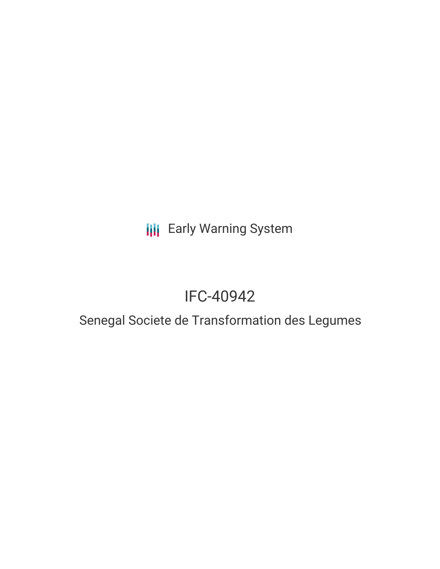# **III** Early Warning System

# IFC-40942

### Senegal Societe de Transformation des Legumes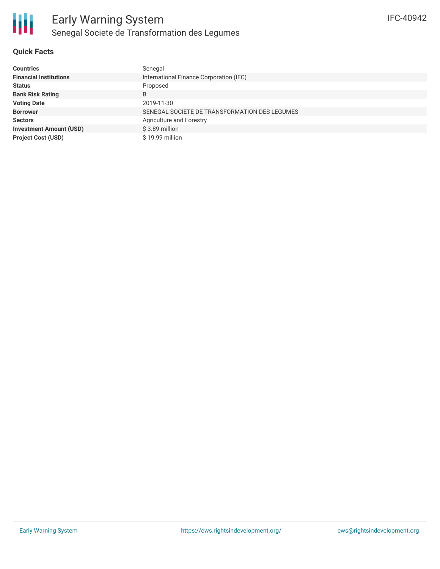

### **Quick Facts**

| <b>Countries</b>               | Senegal                                       |
|--------------------------------|-----------------------------------------------|
| <b>Financial Institutions</b>  | International Finance Corporation (IFC)       |
| <b>Status</b>                  | Proposed                                      |
| <b>Bank Risk Rating</b>        | B                                             |
| <b>Voting Date</b>             | 2019-11-30                                    |
| <b>Borrower</b>                | SENEGAL SOCIETE DE TRANSFORMATION DES LEGUMES |
| <b>Sectors</b>                 | Agriculture and Forestry                      |
| <b>Investment Amount (USD)</b> | $$3.89$ million                               |
| <b>Project Cost (USD)</b>      | \$19.99 million                               |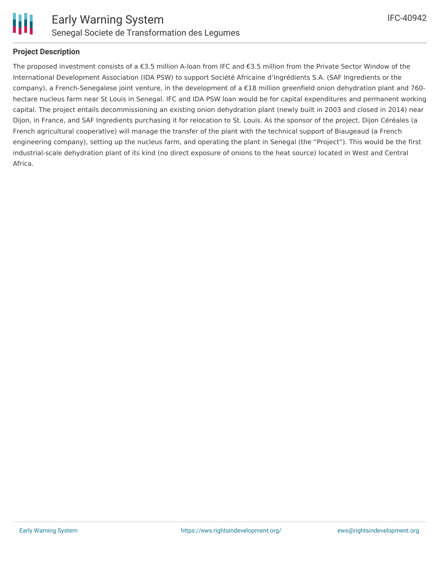

#### **Project Description**

The proposed investment consists of a €3.5 million A-loan from IFC and €3.5 million from the Private Sector Window of the International Development Association (IDA PSW) to support Société Africaine d'Ingrédients S.A. (SAF Ingredients or the company), a French-Senegalese joint venture, in the development of a €18 million greenfield onion dehydration plant and 760 hectare nucleus farm near St Louis in Senegal. IFC and IDA PSW loan would be for capital expenditures and permanent working capital. The project entails decommissioning an existing onion dehydration plant (newly built in 2003 and closed in 2014) near Dijon, in France, and SAF Ingredients purchasing it for relocation to St. Louis. As the sponsor of the project, Dijon Céréales (a French agricultural cooperative) will manage the transfer of the plant with the technical support of Biaugeaud (a French engineering company), setting up the nucleus farm, and operating the plant in Senegal (the "Project"). This would be the first industrial-scale dehydration plant of its kind (no direct exposure of onions to the heat source) located in West and Central Africa.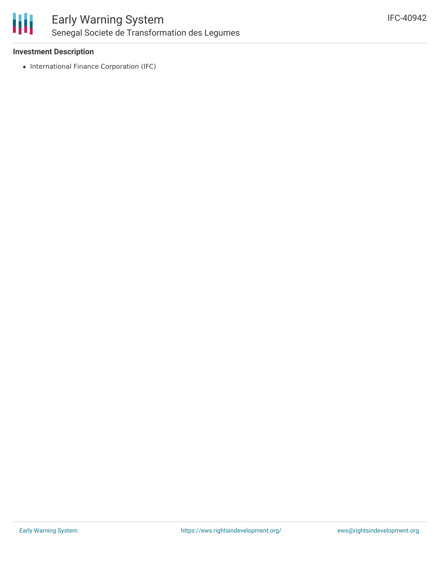

#### **Investment Description**

• International Finance Corporation (IFC)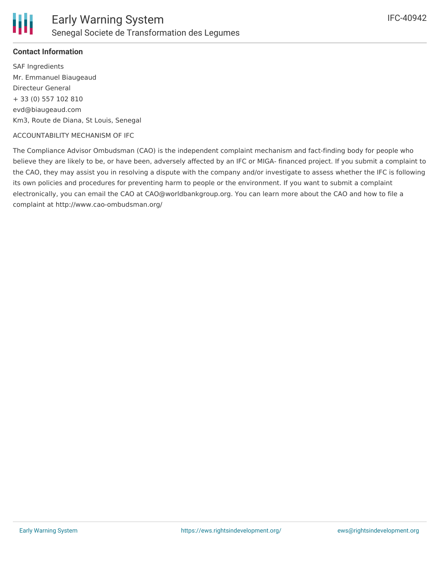

#### **Contact Information**

SAF Ingredients Mr. Emmanuel Biaugeaud Directeur General + 33 (0) 557 102 810 evd@biaugeaud.com Km3, Route de Diana, St Louis, Senegal

#### ACCOUNTABILITY MECHANISM OF IFC

The Compliance Advisor Ombudsman (CAO) is the independent complaint mechanism and fact-finding body for people who believe they are likely to be, or have been, adversely affected by an IFC or MIGA- financed project. If you submit a complaint to the CAO, they may assist you in resolving a dispute with the company and/or investigate to assess whether the IFC is following its own policies and procedures for preventing harm to people or the environment. If you want to submit a complaint electronically, you can email the CAO at CAO@worldbankgroup.org. You can learn more about the CAO and how to file a complaint at http://www.cao-ombudsman.org/